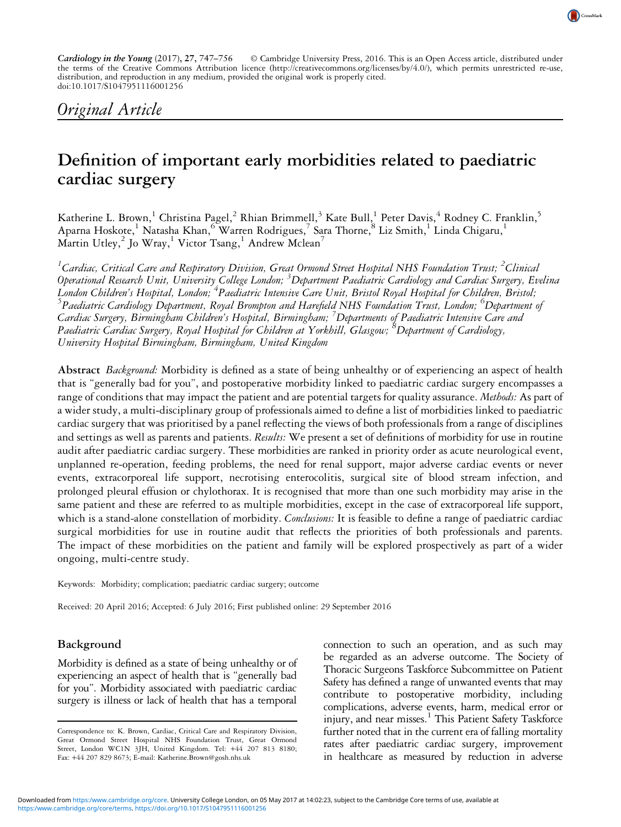

Cardiology in the Young (2017), 27, 747–756 © Cambridge University Press, 2016. This is an Open Access article, distributed under the terms of the Creative Commons Attribution licence (http://creativecommons.org/licenses/by/4.0/), which permits unrestricted re-use, distribution, and reproduction in any medium, provided the original work is properly cited. doi:10.1017/S1047951116001256

# Original Article

# Definition of important early morbidities related to paediatric cardiac surgery

Katherine L. Brown,<sup>1</sup> Christina Pagel,<sup>2</sup> Rhian Brimmell,<sup>3</sup> Kate Bull,<sup>1</sup> Peter Davis,<sup>4</sup> Rodney C. Franklin,<sup>5</sup> Aparna Hoskote,<sup>1</sup> Natasha Khan,<sup>6</sup> Warren Rodrigues,<sup>7</sup> Sara Thorne,<sup>8</sup> Liz Smith,<sup>1</sup> Linda Chigaru,<sup>1</sup> Martin Utley, ${}^{2}$  Jo Wray, ${}^{1}$  Victor Tsang, ${}^{1}$  Andrew Mclean<sup>7</sup>

 $^1$ Cardiac, Critical Care and Respiratory Division, Great Ormond Street Hospital NHS Foundation Trust;  $^2$ Clinical Operational Research Unit, University College London; <sup>3</sup>Department Paediatric Cardiology and Cardiac Surgery, Evelina London Children's Hospital, London; <sup>4</sup>Paediatric Intensive Care Unit, Bristol Royal Hospital for Children, Bristol;<br><sup>5</sup>Paediatric Cardiology Department, Boyal Brompton and Harofield NHS Foundation Trust, London: <sup>6</sup>Depart Paediatric Cardiology Department, Royal Brompton and Harefield NHS Foundation Trust, London; <sup>6</sup>Department of Cardiac Surgery, Birmingham Children's Hospital, Birmingham; <sup>7</sup> Departments of Paediatric Intensive Care and Paediatric Cardiac Surgery, Royal Hospital for Children at Yorkhill, Glasgow; <sup>8</sup>Department of Cardiology, University Hospital Birmingham, Birmingham, United Kingdom

Abstract Background: Morbidity is defined as a state of being unhealthy or of experiencing an aspect of health that is "generally bad for you", and postoperative morbidity linked to paediatric cardiac surgery encompasses a range of conditions that may impact the patient and are potential targets for quality assurance. Methods: As part of a wider study, a multi-disciplinary group of professionals aimed to define a list of morbidities linked to paediatric cardiac surgery that was prioritised by a panel reflecting the views of both professionals from a range of disciplines and settings as well as parents and patients. Results: We present a set of definitions of morbidity for use in routine audit after paediatric cardiac surgery. These morbidities are ranked in priority order as acute neurological event, unplanned re-operation, feeding problems, the need for renal support, major adverse cardiac events or never events, extracorporeal life support, necrotising enterocolitis, surgical site of blood stream infection, and prolonged pleural effusion or chylothorax. It is recognised that more than one such morbidity may arise in the same patient and these are referred to as multiple morbidities, except in the case of extracorporeal life support, which is a stand-alone constellation of morbidity. *Conclusions:* It is feasible to define a range of paediatric cardiac surgical morbidities for use in routine audit that reflects the priorities of both professionals and parents. The impact of these morbidities on the patient and family will be explored prospectively as part of a wider ongoing, multi-centre study.

Keywords: Morbidity; complication; paediatric cardiac surgery; outcome

Received: 20 April 2016; Accepted: 6 July 2016; First published online: 29 September 2016

#### Background

Morbidity is defined as a state of being unhealthy or of experiencing an aspect of health that is "generally bad for you". Morbidity associated with paediatric cardiac surgery is illness or lack of health that has a temporal

connection to such an operation, and as such may be regarded as an adverse outcome. The Society of Thoracic Surgeons Taskforce Subcommittee on Patient Safety has defined a range of unwanted events that may contribute to postoperative morbidity, including complications, adverse events, harm, medical error or injury, and near misses.<sup>[1](#page-8-0)</sup> This Patient Safety Taskforce further noted that in the current era of falling mortality rates after paediatric cardiac surgery, improvement in healthcare as measured by reduction in adverse

Correspondence to: K. Brown, Cardiac, Critical Care and Respiratory Division, Great Ormond Street Hospital NHS Foundation Trust, Great Ormond Street, London WC1N 3JH, United Kingdom. Tel: +44 207 813 8180; Fax: +44 207 829 8673; E-mail: [Katherine.Brown@gosh.nhs.uk](mailto:Katherine.Brown@gosh.nhs.uk)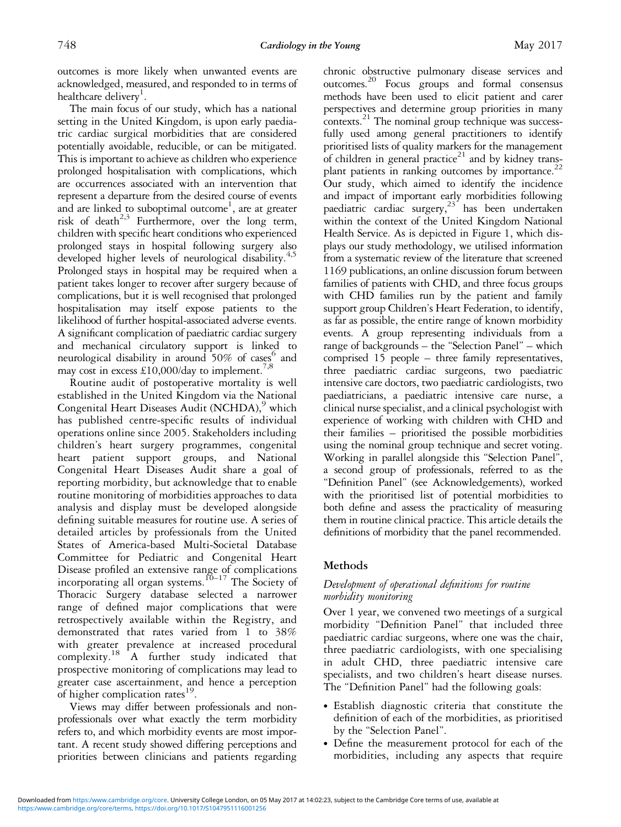outcomes is more likely when unwanted events are acknowledged, measured, and responded to in terms of healthcare delivery<sup>1</sup>.

The main focus of our study, which has a national setting in the United Kingdom, is upon early paediatric cardiac surgical morbidities that are considered potentially avoidable, reducible, or can be mitigated. This is important to achieve as children who experience prolonged hospitalisation with complications, which are occurrences associated with an intervention that represent a departure from the desired course of events and are linked to suboptimal outcome<sup>[1](#page-8-0)</sup>, are at greater risk of death<sup>[2,3](#page-8-0)</sup> Furthermore, over the long term, children with specific heart conditions who experienced prolonged stays in hospital following surgery also developed higher levels of neurological disability.<sup>[4,5](#page-8-0)</sup> Prolonged stays in hospital may be required when a patient takes longer to recover after surgery because of complications, but it is well recognised that prolonged hospitalisation may itself expose patients to the likelihood of further hospital-associated adverse events. A significant complication of paediatric cardiac surgery and mechanical circulatory support is linked to neurological disability in around  $50\%$  of cases and may cost in excess £10,000/day to implement.<sup>7,8</sup>

Routine audit of postoperative mortality is well established in the United Kingdom via the National Congenital Heart Diseases Audit (NCHDA),<sup>[9](#page-8-0)</sup> which has published centre-specific results of individual operations online since 2005. Stakeholders including children's heart surgery programmes, congenital heart patient support groups, and National Congenital Heart Diseases Audit share a goal of reporting morbidity, but acknowledge that to enable routine monitoring of morbidities approaches to data analysis and display must be developed alongside defining suitable measures for routine use. A series of detailed articles by professionals from the United States of America-based Multi-Societal Database Committee for Pediatric and Congenital Heart Disease profiled an extensive range of complications incorporating all organ systems.<sup>[10](#page-8-0)-[17](#page-9-0)</sup> The Society of Thoracic Surgery database selected a narrower range of defined major complications that were retrospectively available within the Registry, and demonstrated that rates varied from 1 to 38% with greater prevalence at increased procedural complexity.<sup>[18](#page-9-0)</sup> A further study indicated that prospective monitoring of complications may lead to greater case ascertainment, and hence a perception of higher complication rates<sup>[19](#page-9-0)</sup>.

Views may differ between professionals and nonprofessionals over what exactly the term morbidity refers to, and which morbidity events are most important. A recent study showed differing perceptions and priorities between clinicians and patients regarding

chronic obstructive pulmonary disease services and outcomes.[20](#page-9-0) Focus groups and formal consensus methods have been used to elicit patient and carer perspectives and determine group priorities in many  $\frac{1}{2}$  contexts.<sup>21</sup> The nominal group technique was successfully used among general practitioners to identify prioritised lists of quality markers for the management of children in general practice<sup>[21](#page-9-0)</sup> and by kidney trans-plant patients in ranking outcomes by importance.<sup>[22](#page-9-0)</sup> Our study, which aimed to identify the incidence and impact of important early morbidities following paediatric cardiac surgery,<sup>[23](#page-9-0)</sup> has been undertaken within the context of the United Kingdom National Health Service. As is depicted in [Figure 1](#page-2-0), which displays our study methodology, we utilised information from a systematic review of the literature that screened 1169 publications, an online discussion forum between families of patients with CHD, and three focus groups with CHD families run by the patient and family support group Children's Heart Federation, to identify, as far as possible, the entire range of known morbidity events. A group representing individuals from a range of backgrounds – the "Selection Panel" – which comprised 15 people – three family representatives, three paediatric cardiac surgeons, two paediatric intensive care doctors, two paediatric cardiologists, two paediatricians, a paediatric intensive care nurse, a clinical nurse specialist, and aclinical psychologist with experience of working with children with CHD and their families – prioritised the possible morbidities using the nominal group technique and secret voting. Working in parallel alongside this "Selection Panel", a second group of professionals, referred to as the "Definition Panel" (see Acknowledgements), worked with the prioritised list of potential morbidities to both define and assess the practicality of measuring them in routine clinical practice. This article details the definitions of morbidity that the panel recommended.

## Methods

### Development of operational definitions for routine morbidity monitoring

Over 1 year, we convened two meetings of a surgical morbidity "Definition Panel" that included three paediatric cardiac surgeons, where one was the chair, three paediatric cardiologists, with one specialising in adult CHD, three paediatric intensive care specialists, and two children's heart disease nurses. The "Definition Panel" had the following goals:

- ∙ Establish diagnostic criteria that constitute the definition of each of the morbidities, as prioritised by the "Selection Panel".
- ∙ Define the measurement protocol for each of the morbidities, including any aspects that require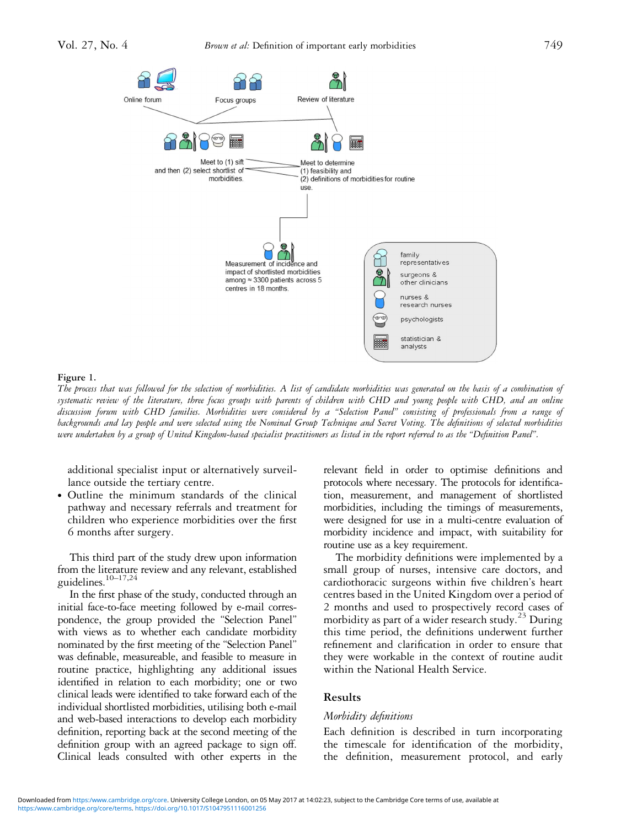<span id="page-2-0"></span>

#### Figure 1.

The process that was followed for the selection of morbidities. A list of candidate morbidities was generated on the basis of a combination of systematic review of the literature, three focus groups with parents of children with CHD and young people with CHD, and an online discussion forum with CHD families. Morbidities were considered by a "Selection Panel" consisting of professionals from a range of backgrounds and lay people and were selected using the Nominal Group Technique and Secret Voting. The definitions of selected morbidities were undertaken by a group of United Kingdom-based specialist practitioners as listed in the report referred to as the "Definition Panel".

additional specialist input or alternatively surveillance outside the tertiary centre.

∙ Outline the minimum standards of the clinical pathway and necessary referrals and treatment for children who experience morbidities over the first 6 months after surgery.

This third part of the study drew upon information from the literature review and any relevant, established guidelines. $10-17,24$  $10-17,24$ 

In the first phase of the study, conducted through an initial face-to-face meeting followed by e-mail correspondence, the group provided the "Selection Panel" with views as to whether each candidate morbidity nominated by the first meeting of the "Selection Panel" was definable, measureable, and feasible to measure in routine practice, highlighting any additional issues identified in relation to each morbidity; one or two clinical leads were identified to take forward each of the individual shortlisted morbidities, utilising both e-mail and web-based interactions to develop each morbidity definition, reporting back at the second meeting of the definition group with an agreed package to sign off. Clinical leads consulted with other experts in the

relevant field in order to optimise definitions and protocols where necessary. The protocols for identification, measurement, and management of shortlisted morbidities, including the timings of measurements, were designed for use in a multi-centre evaluation of morbidity incidence and impact, with suitability for routine use as a key requirement.

The morbidity definitions were implemented by a small group of nurses, intensive care doctors, and cardiothoracic surgeons within five children's heart centres based in the United Kingdom over a period of 2 months and used to prospectively record cases of morbidity as part of a wider research study.<sup>[23](#page-9-0)</sup> During this time period, the definitions underwent further refinement and clarification in order to ensure that they were workable in the context of routine audit within the National Health Service.

#### Results

#### Morbidity definitions

Each definition is described in turn incorporating the timescale for identification of the morbidity, the definition, measurement protocol, and early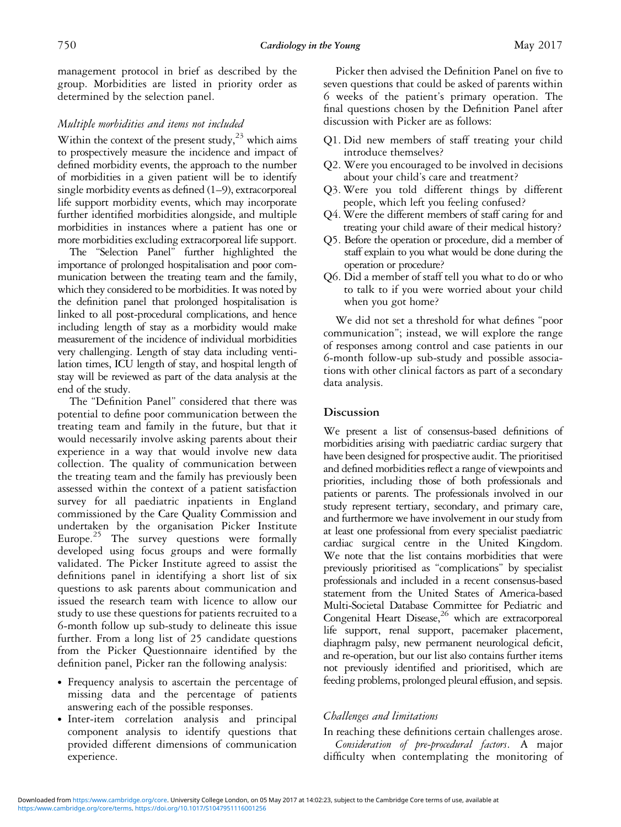management protocol in brief as described by the group. Morbidities are listed in priority order as determined by the selection panel.

#### Multiple morbidities and items not included

Within the context of the present study,  $2^3$  which aims to prospectively measure the incidence and impact of defined morbidity events, the approach to the number of morbidities in a given patient will be to identify single morbidity events as defined (1–9), extracorporeal life support morbidity events, which may incorporate further identified morbidities alongside, and multiple morbidities in instances where a patient has one or more morbidities excluding extracorporeal life support.

The "Selection Panel" further highlighted the importance of prolonged hospitalisation and poor communication between the treating team and the family, which they considered to be morbidities. It was noted by the definition panel that prolonged hospitalisation is linked to all post-procedural complications, and hence including length of stay as a morbidity would make measurement of the incidence of individual morbidities very challenging. Length of stay data including ventilation times, ICU length of stay, and hospital length of stay will be reviewed as part of the data analysis at the end of the study.

The "Definition Panel" considered that there was potential to define poor communication between the treating team and family in the future, but that it would necessarily involve asking parents about their experience in a way that would involve new data collection. The quality of communication between the treating team and the family has previously been assessed within the context of a patient satisfaction survey for all paediatric inpatients in England commissioned by the Care Quality Commission and undertaken by the organisation Picker Institute Europe.<sup>[25](#page-9-0)</sup> The survey questions were formally developed using focus groups and were formally validated. The Picker Institute agreed to assist the definitions panel in identifying a short list of six questions to ask parents about communication and issued the research team with licence to allow our study to use these questions for patients recruited to a 6-month follow up sub-study to delineate this issue further. From a long list of 25 candidate questions from the Picker Questionnaire identified by the definition panel, Picker ran the following analysis:

- ∙ Frequency analysis to ascertain the percentage of missing data and the percentage of patients answering each of the possible responses.
- ∙ Inter-item correlation analysis and principal component analysis to identify questions that provided different dimensions of communication experience.

Picker then advised the Definition Panel on five to seven questions that could be asked of parents within 6 weeks of the patient's primary operation. The final questions chosen by the Definition Panel after discussion with Picker are as follows:

- Q1. Did new members of staff treating your child introduce themselves?
- Q2. Were you encouraged to be involved in decisions about your child's care and treatment?
- Q3. Were you told different things by different people, which left you feeling confused?
- Q4. Were the different members of staff caring for and treating your child aware of their medical history?
- Q5. Before the operation or procedure, did a member of staff explain to you what would be done during the operation or procedure?
- Q6. Did a member of staff tell you what to do or who to talk to if you were worried about your child when you got home?

We did not set a threshold for what defines "poor communication"; instead, we will explore the range of responses among control and case patients in our 6-month follow-up sub-study and possible associations with other clinical factors as part of a secondary data analysis.

#### Discussion

We present a list of consensus-based definitions of morbidities arising with paediatric cardiac surgery that have been designed for prospective audit. The prioritised and defined morbidities reflect a range of viewpoints and priorities, including those of both professionals and patients or parents. The professionals involved in our study represent tertiary, secondary, and primary care, and furthermore we have involvement in our study from at least one professional from every specialist paediatric cardiac surgical centre in the United Kingdom. We note that the list contains morbidities that were previously prioritised as "complications" by specialist professionals and included in a recent consensus-based statement from the United States of America-based Multi-Societal Database Committee for Pediatric and Congenital Heart Disease,<sup>26</sup> which are extracorporeal life support, renal support, pacemaker placement, diaphragm palsy, new permanent neurological deficit, and re-operation, but our list also contains further items not previously identified and prioritised, which are feeding problems, prolonged pleural effusion, and sepsis.

#### Challenges and limitations

In reaching these definitions certain challenges arose.

Consideration of pre-procedural factors. A major difficulty when contemplating the monitoring of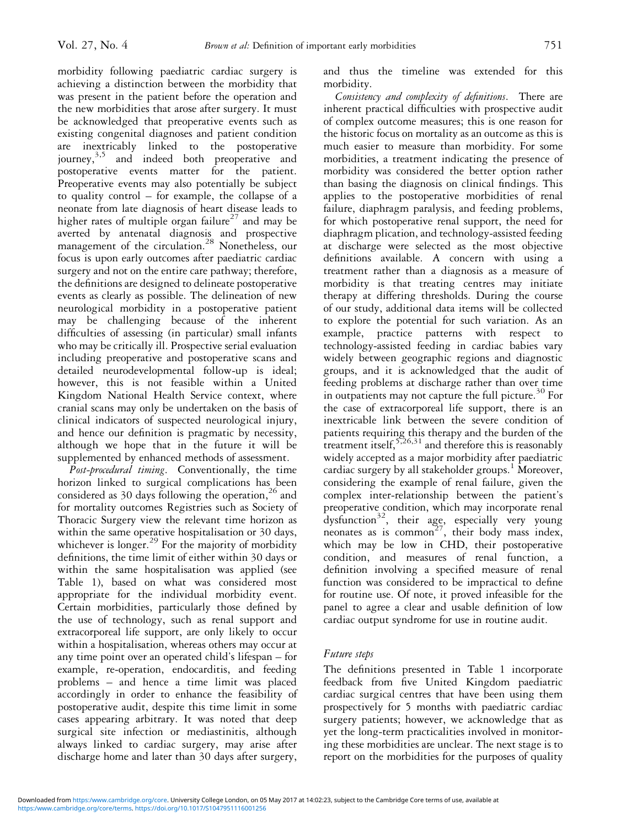morbidity following paediatric cardiac surgery is achieving a distinction between the morbidity that was present in the patient before the operation and the new morbidities that arose after surgery. It must be acknowledged that preoperative events such as existing congenital diagnoses and patient condition are inextricably linked to the postoperative journey,<sup>[3,5](#page-8-0)</sup> and indeed both preoperative and postoperative events matter for the patient. Preoperative events may also potentially be subject to quality control – for example, the collapse of a neonate from late diagnosis of heart disease leads to higher rates of multiple organ failure<sup>[27](#page-9-0)</sup> and may be averted by antenatal diagnosis and prospective management of the circulation.<sup>[28](#page-9-0)</sup> Nonetheless, our focus is upon early outcomes after paediatric cardiac surgery and not on the entire care pathway; therefore, the definitions are designed to delineate postoperative events as clearly as possible. The delineation of new neurological morbidity in a postoperative patient may be challenging because of the inherent difficulties of assessing (in particular) small infants who may be critically ill. Prospective serial evaluation including preoperative and postoperative scans and detailed neurodevelopmental follow-up is ideal; however, this is not feasible within a United Kingdom National Health Service context, where cranial scans may only be undertaken on the basis of clinical indicators of suspected neurological injury, and hence our definition is pragmatic by necessity, although we hope that in the future it will be supplemented by enhanced methods of assessment.

Post-procedural timing. Conventionally, the time horizon linked to surgical complications has been considered as 30 days following the operation, $^{26}$  and for mortality outcomes Registries such as Society of Thoracic Surgery view the relevant time horizon as within the same operative hospitalisation or 30 days, whichever is longer.<sup>[29](#page-9-0)</sup> For the majority of morbidity definitions, the time limit of either within 30 days or within the same hospitalisation was applied (see [Table 1](#page-5-0)), based on what was considered most appropriate for the individual morbidity event. Certain morbidities, particularly those defined by the use of technology, such as renal support and extracorporeal life support, are only likely to occur within a hospitalisation, whereas others may occur at any time point over an operated child's lifespan – for example, re-operation, endocarditis, and feeding problems – and hence a time limit was placed accordingly in order to enhance the feasibility of postoperative audit, despite this time limit in some cases appearing arbitrary. It was noted that deep surgical site infection or mediastinitis, although always linked to cardiac surgery, may arise after discharge home and later than 30 days after surgery,

and thus the timeline was extended for this morbidity.

Consistency and complexity of definitions. There are inherent practical difficulties with prospective audit of complex outcome measures; this is one reason for the historic focus on mortality as an outcome as this is much easier to measure than morbidity. For some morbidities, a treatment indicating the presence of morbidity was considered the better option rather than basing the diagnosis on clinical findings. This applies to the postoperative morbidities of renal failure, diaphragm paralysis, and feeding problems, for which postoperative renal support, the need for diaphragm plication, and technology-assisted feeding at discharge were selected as the most objective definitions available. A concern with using a treatment rather than a diagnosis as a measure of morbidity is that treating centres may initiate therapy at differing thresholds. During the course of our study, additional data items will be collected to explore the potential for such variation. As an example, practice patterns with respect to technology-assisted feeding in cardiac babies vary widely between geographic regions and diagnostic groups, and it is acknowledged that the audit of feeding problems at discharge rather than over time in outpatients may not capture the full picture.<sup>[30](#page-9-0)</sup> For the case of extracorporeal life support, there is an inextricable link between the severe condition of patients requiring this therapy and the burden of the treatment itself,  $5,26,31$  $5,26,31$  and therefore this is reasonably widely accepted as a major morbidity after paediatric cardiac surgery by all stakeholder groups.<sup>[1](#page-8-0)</sup> Moreover, considering the example of renal failure, given the complex inter-relationship between the patient's preoperative condition, which may incorporate renal  $dysf$ unction<sup>32</sup>, their age, especially very young neonates as is common<sup>[27](#page-9-0)</sup>, their body mass index, which may be low in CHD, their postoperative condition, and measures of renal function, a definition involving a specified measure of renal function was considered to be impractical to define for routine use. Of note, it proved infeasible for the panel to agree a clear and usable definition of low cardiac output syndrome for use in routine audit.

## Future steps

The definitions presented in [Table 1](#page-5-0) incorporate feedback from five United Kingdom paediatric cardiac surgical centres that have been using them prospectively for 5 months with paediatric cardiac surgery patients; however, we acknowledge that as yet the long-term practicalities involved in monitoring these morbidities are unclear. The next stage is to report on the morbidities for the purposes of quality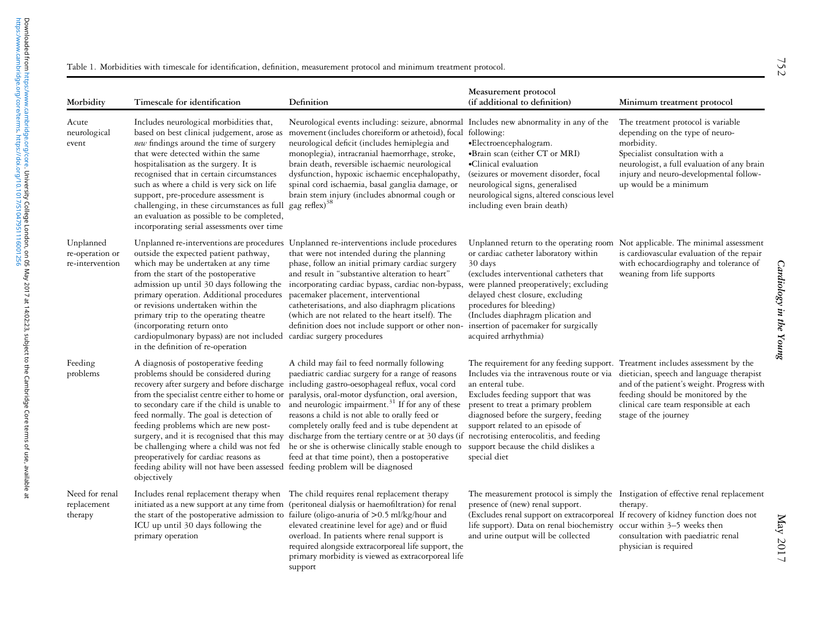<span id="page-5-0"></span>

| Morbidity                                       | Timescale for identification                                                                                                                                                                                                                                                                                                                                                                                                                                                                                           | Definition                                                                                                                                                                                                                                                                                                                                                                                                                                                                                                                                                                                                                                                                   | Measurement protocol<br>(if additional to definition)                                                                                                                                                                                                                                                             | Minimum treatment protocol                                                                                                                                                                                                               |
|-------------------------------------------------|------------------------------------------------------------------------------------------------------------------------------------------------------------------------------------------------------------------------------------------------------------------------------------------------------------------------------------------------------------------------------------------------------------------------------------------------------------------------------------------------------------------------|------------------------------------------------------------------------------------------------------------------------------------------------------------------------------------------------------------------------------------------------------------------------------------------------------------------------------------------------------------------------------------------------------------------------------------------------------------------------------------------------------------------------------------------------------------------------------------------------------------------------------------------------------------------------------|-------------------------------------------------------------------------------------------------------------------------------------------------------------------------------------------------------------------------------------------------------------------------------------------------------------------|------------------------------------------------------------------------------------------------------------------------------------------------------------------------------------------------------------------------------------------|
| Acute<br>neurological<br>event                  | Includes neurological morbidities that,<br>based on best clinical judgement, arose as<br>new findings around the time of surgery<br>that were detected within the same<br>hospitalisation as the surgery. It is<br>recognised that in certain circumstances<br>such as where a child is very sick on life<br>support, pre-procedure assessment is<br>challenging, in these circumstances as full gag reflex) <sup>38</sup><br>an evaluation as possible to be completed,<br>incorporating serial assessments over time | Neurological events including: seizure, abnormal Includes new abnormality in any of the<br>movement (includes choreiform or athetoid), focal following:<br>neurological deficit (includes hemiplegia and<br>monoplegia), intracranial haemorrhage, stroke,<br>brain death, reversible ischaemic neurological<br>dysfunction, hypoxic ischaemic encephalopathy,<br>spinal cord ischaemia, basal ganglia damage, or<br>brain stem injury (includes abnormal cough or                                                                                                                                                                                                           | ·Electroencephalogram.<br>·Brain scan (either CT or MRI)<br>•Clinical evaluation<br>(seizures or movement disorder, focal<br>neurological signs, generalised<br>neurological signs, altered conscious level<br>including even brain death)                                                                        | The treatment protocol is variable<br>depending on the type of neuro-<br>morbidity.<br>Specialist consultation with a<br>neurologist, a full evaluation of any brain<br>injury and neuro-developmental follow-<br>up would be a minimum  |
| Unplanned<br>re-operation or<br>re-intervention | Unplanned re-interventions are procedures<br>outside the expected patient pathway,<br>which may be undertaken at any time<br>from the start of the postoperative<br>admission up until 30 days following the<br>primary operation. Additional procedures<br>or revisions undertaken within the<br>primary trip to the operating theatre<br>(incorporating return onto<br>cardiopulmonary bypass) are not included<br>in the definition of re-operation                                                                 | Unplanned re-interventions include procedures<br>that were not intended during the planning<br>phase, follow an initial primary cardiac surgery<br>and result in "substantive alteration to heart"<br>incorporating cardiac bypass, cardiac non-bypass,<br>pacemaker placement, interventional<br>catheterisations, and also diaphragm plications<br>(which are not related to the heart itself). The<br>definition does not include support or other non-<br>cardiac surgery procedures                                                                                                                                                                                     | or cardiac catheter laboratory within<br>30 days<br>(excludes interventional catheters that<br>were planned preoperatively; excluding<br>delayed chest closure, excluding<br>procedures for bleeding)<br>(Includes diaphragm plication and<br>insertion of pacemaker for surgically<br>acquired arrhythmia)       | Unplanned return to the operating room Not applicable. The minimal assessment<br>is cardiovascular evaluation of the repair<br>with echocardiography and tolerance of<br>weaning from life supports                                      |
| Feeding<br>problems                             | A diagnosis of postoperative feeding<br>problems should be considered during<br>to secondary care if the child is unable to<br>feed normally. The goal is detection of<br>feeding problems which are new post-<br>surgery, and it is recognised that this may<br>be challenging where a child was not fed<br>preoperatively for cardiac reasons as<br>feeding ability will not have been assessed feeding problem will be diagnosed<br>objectively                                                                     | A child may fail to feed normally following<br>paediatric cardiac surgery for a range of reasons<br>recovery after surgery and before discharge including gastro-oesophageal reflux, vocal cord<br>from the specialist centre either to home or paralysis, oral-motor dysfunction, oral aversion,<br>and neurologic impairment. <sup>31</sup> If for any of these<br>reasons a child is not able to orally feed or<br>completely orally feed and is tube dependent at<br>discharge from the tertiary centre or at 30 days (if necrotising enterocolitis, and feeding<br>he or she is otherwise clinically stable enough to<br>feed at that time point), then a postoperative | The requirement for any feeding support. Treatment includes assessment by the<br>an enteral tube.<br>Excludes feeding support that was<br>present to treat a primary problem<br>diagnosed before the surgery, feeding<br>support related to an episode of<br>support because the child dislikes a<br>special diet | Includes via the intravenous route or via dietician, speech and language therapist<br>and of the patient's weight. Progress with<br>feeding should be monitored by the<br>clinical care team responsible at each<br>stage of the journey |
| Need for renal<br>replacement<br>therapy        | the start of the postoperative admission to<br>ICU up until 30 days following the<br>primary operation                                                                                                                                                                                                                                                                                                                                                                                                                 | Includes renal replacement therapy when The child requires renal replacement therapy<br>initiated as a new support at any time from (peritoneal dialysis or haemofiltration) for renal<br>failure (oligo-anuria of >0.5 ml/kg/hour and<br>elevated creatinine level for age) and or fluid<br>overload. In patients where renal support is<br>required alongside extracorporeal life support, the<br>primary morbidity is viewed as extracorporeal life                                                                                                                                                                                                                       | presence of (new) renal support.<br>(Excludes renal support on extracorporeal If recovery of kidney function does not<br>life support). Data on renal biochemistry occur within 3-5 weeks then<br>and urine output will be collected                                                                              | The measurement protocol is simply the Instigation of effective renal replacement<br>therapy.<br>consultation with paediatric renal<br>physician is required                                                                             |

support

May 2017

Cardiology in the Young

Cardiology in the Young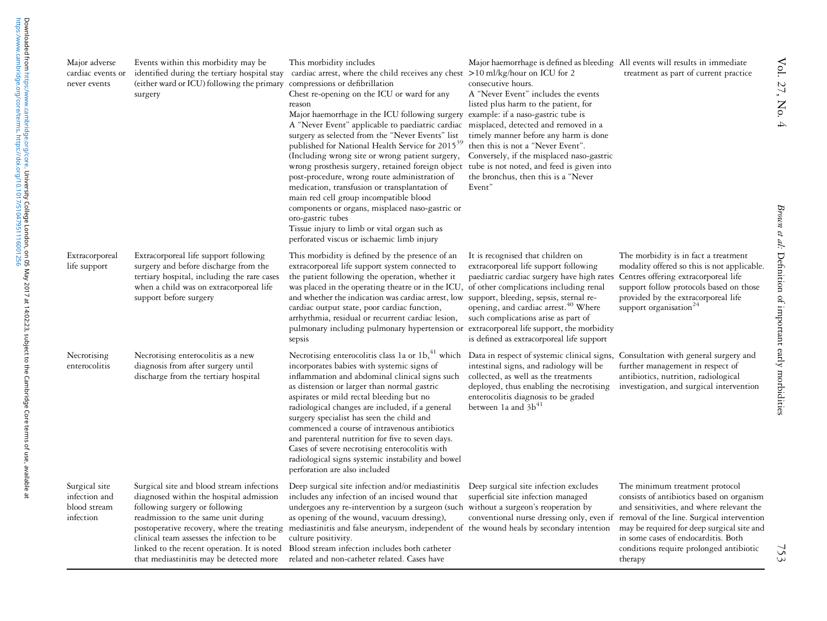| Major adverse<br>cardiac events or<br>never events          | Events within this morbidity may be<br>identified during the tertiary hospital stay<br>(either ward or ICU) following the primary<br>surgery                                                                                                                                                                                                        | This morbidity includes<br>cardiac arrest, where the child receives any chest<br>compressions or defibrillation<br>Chest re-opening on the ICU or ward for any<br>reason<br>Major haemorrhage in the ICU following surgery<br>A "Never Event" applicable to paediatric cardiac<br>surgery as selected from the "Never Events" list<br>published for National Health Service for 2015 <sup>39</sup><br>(Including wrong site or wrong patient surgery,<br>wrong prosthesis surgery, retained foreign object<br>post-procedure, wrong route administration of<br>medication, transfusion or transplantation of<br>main red cell group incompatible blood<br>components or organs, misplaced naso-gastric or<br>oro-gastric tubes<br>Tissue injury to limb or vital organ such as<br>perforated viscus or ischaemic limb injury | Major haemorrhage is defined as bleeding All events will results in immediate<br>$>10$ ml/kg/hour on ICU for 2<br>consecutive hours.<br>A "Never Event" includes the events<br>listed plus harm to the patient, for<br>example: if a naso-gastric tube is<br>misplaced, detected and removed in a<br>timely manner before any harm is done<br>then this is not a "Never Event".<br>Conversely, if the misplaced naso-gastric<br>tube is not noted, and feed is given into<br>the bronchus, then this is a "Never<br>Event" | treatment as part of current practice                                                                                                                                                                                                                                                                             | $\mbox{Vol}.$<br>$27$ No. $4$                          |
|-------------------------------------------------------------|-----------------------------------------------------------------------------------------------------------------------------------------------------------------------------------------------------------------------------------------------------------------------------------------------------------------------------------------------------|------------------------------------------------------------------------------------------------------------------------------------------------------------------------------------------------------------------------------------------------------------------------------------------------------------------------------------------------------------------------------------------------------------------------------------------------------------------------------------------------------------------------------------------------------------------------------------------------------------------------------------------------------------------------------------------------------------------------------------------------------------------------------------------------------------------------------|----------------------------------------------------------------------------------------------------------------------------------------------------------------------------------------------------------------------------------------------------------------------------------------------------------------------------------------------------------------------------------------------------------------------------------------------------------------------------------------------------------------------------|-------------------------------------------------------------------------------------------------------------------------------------------------------------------------------------------------------------------------------------------------------------------------------------------------------------------|--------------------------------------------------------|
| Extracorporeal<br>life support                              | Extracorporeal life support following<br>surgery and before discharge from the<br>tertiary hospital, including the rare cases<br>when a child was on extracorporeal life<br>support before surgery                                                                                                                                                  | This morbidity is defined by the presence of an<br>extracorporeal life support system connected to<br>the patient following the operation, whether it<br>was placed in the operating theatre or in the ICU,<br>and whether the indication was cardiac arrest, low<br>cardiac output state, poor cardiac function,<br>arrhythmia, residual or recurrent cardiac lesion,<br>pulmonary including pulmonary hypertension or<br>sepsis                                                                                                                                                                                                                                                                                                                                                                                            | It is recognised that children on<br>extracorporeal life support following<br>paediatric cardiac surgery have high rates<br>of other complications including renal<br>support, bleeding, sepsis, sternal re-<br>opening, and cardiac arrest. <sup>40</sup> Where<br>such complications arise as part of<br>extracorporeal life support, the morbidity<br>is defined as extracorporeal life support                                                                                                                         | The morbidity is in fact a treatment<br>modality offered so this is not applicable.<br>Centres offering extracorporeal life<br>support follow protocols based on those<br>provided by the extracorporeal life<br>support organisation <sup>24</sup>                                                               | Brown et al: Definition of important early morbidities |
| Necrotising<br>enterocolitis                                | Necrotising enterocolitis as a new<br>diagnosis from after surgery until<br>discharge from the tertiary hospital                                                                                                                                                                                                                                    | Necrotising enterocolitis class 1a or 1b, <sup>41</sup> which<br>incorporates babies with systemic signs of<br>inflammation and abdominal clinical signs such<br>as distension or larger than normal gastric<br>aspirates or mild rectal bleeding but no<br>radiological changes are included, if a general<br>surgery specialist has seen the child and<br>commenced a course of intravenous antibiotics<br>and parenteral nutrition for five to seven days.<br>Cases of severe necrotising enterocolitis with<br>radiological signs systemic instability and bowel<br>perforation are also included                                                                                                                                                                                                                        | Data in respect of systemic clinical signs,<br>intestinal signs, and radiology will be<br>collected, as well as the treatments<br>deployed, thus enabling the necrotising<br>enterocolitis diagnosis to be graded<br>between 1a and 3b <sup>41</sup>                                                                                                                                                                                                                                                                       | Consultation with general surgery and<br>further management in respect of<br>antibiotics, nutrition, radiological<br>investigation, and surgical intervention                                                                                                                                                     |                                                        |
| Surgical site<br>infection and<br>blood stream<br>infection | Surgical site and blood stream infections<br>diagnosed within the hospital admission<br>following surgery or following<br>readmission to the same unit during<br>postoperative recovery, where the treating<br>clinical team assesses the infection to be<br>linked to the recent operation. It is noted<br>that mediastinitis may be detected more | Deep surgical site infection and/or mediastinitis<br>includes any infection of an incised wound that<br>undergoes any re-intervention by a surgeon (such<br>as opening of the wound, vacuum dressing),<br>mediastinitis and false aneurysm, independent of the wound heals by secondary intention<br>culture positivity.<br>Blood stream infection includes both catheter<br>related and non-catheter related. Cases have                                                                                                                                                                                                                                                                                                                                                                                                    | Deep surgical site infection excludes<br>superficial site infection managed<br>without a surgeon's reoperation by<br>conventional nurse dressing only, even if                                                                                                                                                                                                                                                                                                                                                             | The minimum treatment protocol<br>consists of antibiotics based on organism<br>and sensitivities, and where relevant the<br>removal of the line. Surgical intervention<br>may be required for deep surgical site and<br>in some cases of endocarditis. Both<br>conditions require prolonged antibiotic<br>therapy | 753                                                    |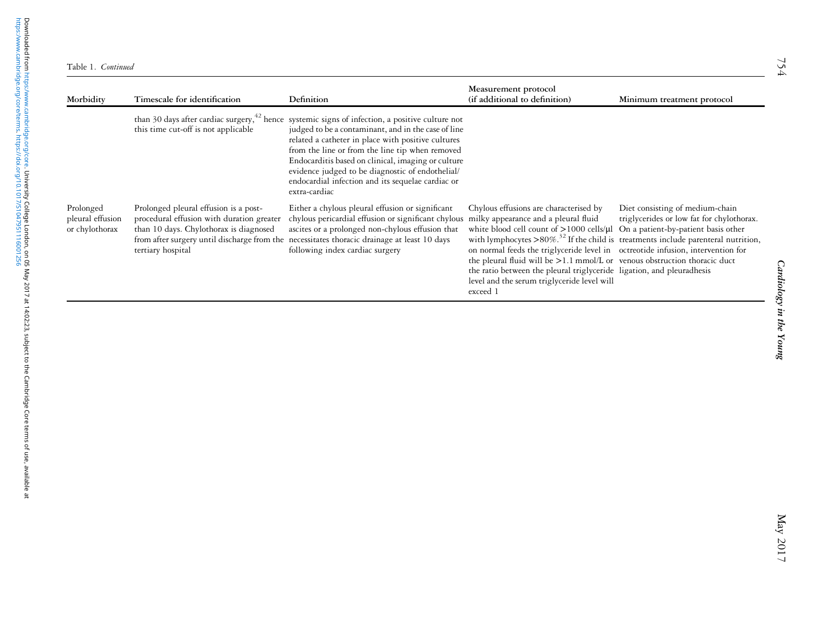| Morbidity                                       | Timescale for identification                                                                                                                      | Definition                                                                                                                                                                                                                                                                                                                                                                                                                                                  | Measurement protocol<br>(if additional to definition)                                                                                                                                                                                                                                                                                                                                                                                                                                                                                      | Minimum treatment protocol                                                   |
|-------------------------------------------------|---------------------------------------------------------------------------------------------------------------------------------------------------|-------------------------------------------------------------------------------------------------------------------------------------------------------------------------------------------------------------------------------------------------------------------------------------------------------------------------------------------------------------------------------------------------------------------------------------------------------------|--------------------------------------------------------------------------------------------------------------------------------------------------------------------------------------------------------------------------------------------------------------------------------------------------------------------------------------------------------------------------------------------------------------------------------------------------------------------------------------------------------------------------------------------|------------------------------------------------------------------------------|
|                                                 | this time cut-off is not applicable                                                                                                               | than 30 days after cardiac surgery, <sup>42</sup> hence systemic signs of infection, a positive culture not<br>judged to be a contaminant, and in the case of line<br>related a catheter in place with positive cultures<br>from the line or from the line tip when removed<br>Endocarditis based on clinical, imaging or culture<br>evidence judged to be diagnostic of endothelial/<br>endocardial infection and its sequelae cardiac or<br>extra-cardiac |                                                                                                                                                                                                                                                                                                                                                                                                                                                                                                                                            |                                                                              |
| Prolonged<br>pleural effusion<br>or chylothorax | Prolonged pleural effusion is a post-<br>procedural effusion with duration greater<br>than 10 days. Chylothorax is diagnosed<br>tertiary hospital | Either a chylous pleural effusion or significant<br>chylous pericardial effusion or significant chylous milky appearance and a pleural fluid<br>ascites or a prolonged non-chylous effusion that<br>from after surgery until discharge from the necessitates thoracic drainage at least 10 days<br>following index cardiac surgery                                                                                                                          | Chylous effusions are characterised by<br>white blood cell count of $>1000$ cells/ $\mu$ l On a patient-by-patient basis other<br>with lymphocytes > $80\%$ . <sup>32</sup> If the child is treatments include parenteral nutrition,<br>on normal feeds the triglyceride level in octreotide infusion, intervention for<br>the pleural fluid will be $>1.1$ mmol/L or venous obstruction thoracic duct<br>the ratio between the pleural triglyceride ligation, and pleuradhesis<br>level and the serum triglyceride level will<br>exceed 1 | Diet consisting of medium-chain<br>triglycerides or low fat for chylothorax. |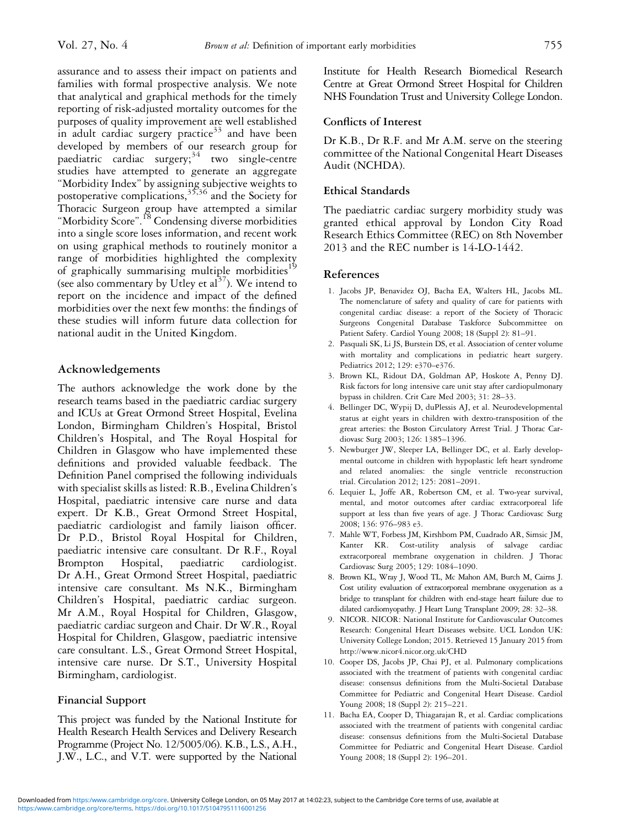<span id="page-8-0"></span>assurance and to assess their impact on patients and families with formal prospective analysis. We note that analytical and graphical methods for the timely reporting of risk-adjusted mortality outcomes for the purposes of quality improvement are well established in adult cardiac surgery practice<sup>[33](#page-9-0)</sup> and have been developed by members of our research group for paediatric cardiac surgery;<sup>[34](#page-9-0)</sup> two single-centre studies have attempted to generate an aggregate "Morbidity Index" by assigning subjective weights to postoperative complications,<sup>[35,36](#page-9-0)</sup> and the Society for Thoracic Surgeon group have attempted a similar "Morbidity Score".<sup>[18](#page-9-0)</sup> Condensing diverse morbidities into a single score loses information, and recent work on using graphical methods to routinely monitor a range of morbidities highlighted the complexity of graphically summarising multiple morbidities $1$ <sup>1</sup> (see also commentary by Utley et al<sup>[37](#page-9-0)</sup>). We intend to report on the incidence and impact of the defined morbidities over the next few months: the findings of these studies will inform future data collection for national audit in the United Kingdom.

## Acknowledgements

The authors acknowledge the work done by the research teams based in the paediatric cardiac surgery and ICUs at Great Ormond Street Hospital, Evelina London, Birmingham Children's Hospital, Bristol Children's Hospital, and The Royal Hospital for Children in Glasgow who have implemented these definitions and provided valuable feedback. The Definition Panel comprised the following individuals with specialist skills as listed: R.B., Evelina Children's Hospital, paediatric intensive care nurse and data expert. Dr K.B., Great Ormond Street Hospital, paediatric cardiologist and family liaison officer. Dr P.D., Bristol Royal Hospital for Children, paediatric intensive care consultant. Dr R.F., Royal Brompton Hospital, paediatric cardiologist. Dr A.H., Great Ormond Street Hospital, paediatric intensive care consultant. Ms N.K., Birmingham Children's Hospital, paediatric cardiac surgeon. Mr A.M., Royal Hospital for Children, Glasgow, paediatric cardiac surgeon and Chair. Dr W.R., Royal Hospital for Children, Glasgow, paediatric intensive care consultant. L.S., Great Ormond Street Hospital, intensive care nurse. Dr S.T., University Hospital Birmingham, cardiologist.

## Financial Support

This project was funded by the National Institute for Health Research Health Services and Delivery Research Programme (Project No. 12/5005/06). K.B., L.S., A.H., J.W., L.C., and V.T. were supported by the National Institute for Health Research Biomedical Research Centre at Great Ormond Street Hospital for Children NHS Foundation Trust and University College London.

## Conflicts of Interest

Dr K.B., Dr R.F. and Mr A.M. serve on the steering committee of the National Congenital Heart Diseases Audit (NCHDA).

## Ethical Standards

The paediatric cardiac surgery morbidity study was granted ethical approval by London City Road Research Ethics Committee (REC) on 8th November 2013 and the REC number is 14-LO-1442.

## References

- 1. Jacobs JP, Benavidez OJ, Bacha EA, Walters HL, Jacobs ML. The nomenclature of safety and quality of care for patients with congenital cardiac disease: a report of the Society of Thoracic Surgeons Congenital Database Taskforce Subcommittee on Patient Safety. Cardiol Young 2008; 18 (Suppl 2): 81–91.
- 2. Pasquali SK, Li JS, Burstein DS, et al. Association of center volume with mortality and complications in pediatric heart surgery. Pediatrics 2012; 129: e370–e376.
- 3. Brown KL, Ridout DA, Goldman AP, Hoskote A, Penny DJ. Risk factors for long intensive care unit stay after cardiopulmonary bypass in children. Crit Care Med 2003; 31: 28–33.
- 4. Bellinger DC, Wypij D, duPlessis AJ, et al. Neurodevelopmental status at eight years in children with dextro-transposition of the great arteries: the Boston Circulatory Arrest Trial. J Thorac Cardiovasc Surg 2003; 126: 1385–1396.
- 5. Newburger JW, Sleeper LA, Bellinger DC, et al. Early developmental outcome in children with hypoplastic left heart syndrome and related anomalies: the single ventricle reconstruction trial. Circulation 2012; 125: 2081–2091.
- 6. Lequier L, Joffe AR, Robertson CM, et al. Two-year survival, mental, and motor outcomes after cardiac extracorporeal life support at less than five years of age. J Thorac Cardiovasc Surg 2008; 136: 976–983 e3.
- 7. Mahle WT, Forbess JM, Kirshbom PM, Cuadrado AR, Simsic JM, Kanter KR. Cost-utility analysis of salvage cardiac extracorporeal membrane oxygenation in children. J Thorac Cardiovasc Surg 2005; 129: 1084–1090.
- 8. Brown KL, Wray J, Wood TL, Mc Mahon AM, Burch M, Cairns J. Cost utility evaluation of extracorporeal membrane oxygenation as a bridge to transplant for children with end-stage heart failure due to dilated cardiomyopathy. J Heart Lung Transplant 2009; 28: 32–38.
- 9. NICOR. NICOR: National Institute for Cardiovascular Outcomes Research: Congenital Heart Diseases website. UCL London UK: University College London; 2015. Retrieved 15 January 2015 from <http://www.nicor4.nicor.org.uk/CHD>
- 10. Cooper DS, Jacobs JP, Chai PJ, et al. Pulmonary complications associated with the treatment of patients with congenital cardiac disease: consensus definitions from the Multi-Societal Database Committee for Pediatric and Congenital Heart Disease. Cardiol Young 2008; 18 (Suppl 2): 215–221.
- 11. Bacha EA, Cooper D, Thiagarajan R, et al. Cardiac complications associated with the treatment of patients with congenital cardiac disease: consensus definitions from the Multi-Societal Database Committee for Pediatric and Congenital Heart Disease. Cardiol Young 2008; 18 (Suppl 2): 196–201.